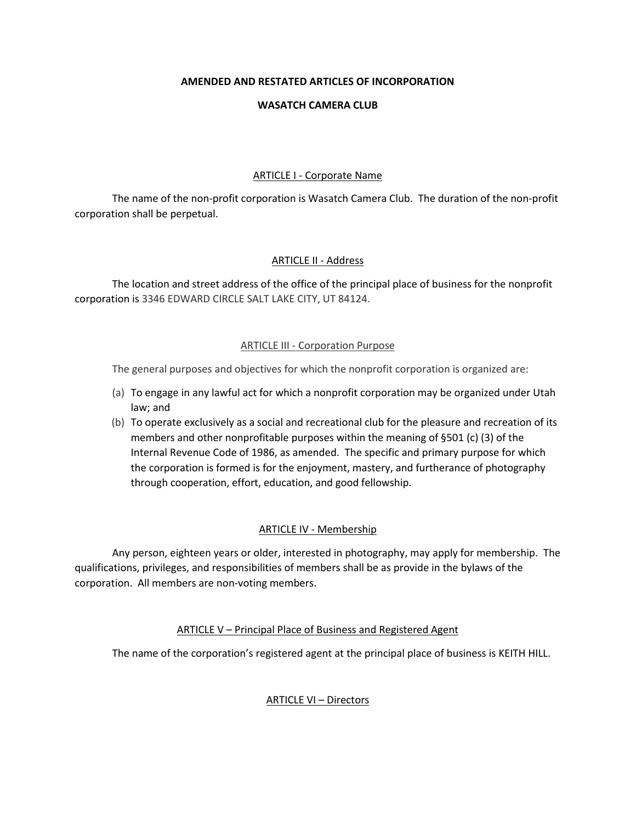# **AMENDED AND RESTATED ARTICLES OF INCORPORATION**

#### **WASATCH CAMERA CLUB**

#### ARTICLE I - Corporate Name

The name of the non-profit corporation is Wasatch Camera Club. The duration of the non-profit corporation shall be perpetual.

# ARTICLE II - Address

The location and street address of the office of the principal place of business for the nonprofit corporation is 3346 EDWARD CIRCLE SALT LAKE CITY, UT 84124.

# ARTICLE III - Corporation Purpose

The general purposes and objectives for which the nonprofit corporation is organized are:

- (a) To engage in any lawful act for which a nonprofit corporation may be organized under Utah law; and
- (b) To operate exclusively as a social and recreational club for the pleasure and recreation of its members and other nonprofitable purposes within the meaning of §501 (c) (3) of the Internal Revenue Code of 1986, as amended. The specific and primary purpose for which the corporation is formed is for the enjoyment, mastery, and furtherance of photography through cooperation, effort, education, and good fellowship.

# ARTICLE IV - Membership

Any person, eighteen years or older, interested in photography, may apply for membership. The qualifications, privileges, and responsibilities of members shall be as provide in the bylaws of the corporation. All members are non-voting members.

# ARTICLE V – Principal Place of Business and Registered Agent

The name of the corporation's registered agent at the principal place of business is KEITH HILL.

# ARTICLE VI – Directors